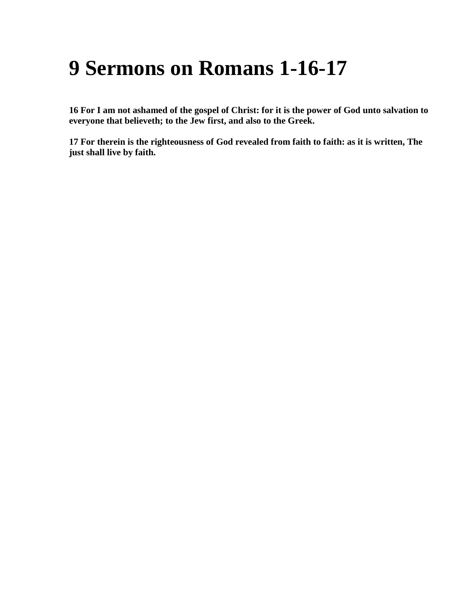# **9 Sermons on Romans 1-16-17**

**16 For I am not ashamed of the gospel of Christ: for it is the power of God unto salvation to everyone that believeth; to the Jew first, and also to the Greek.**

**17 For therein is the righteousness of God revealed from faith to faith: as it is written, The just shall live by faith.**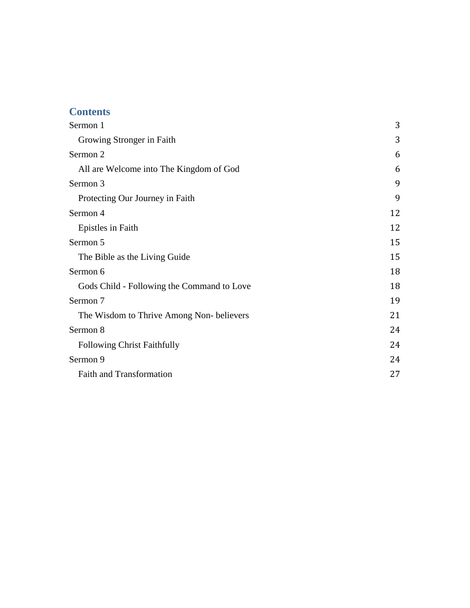## **Contents**

| Sermon 1                                   | 3  |
|--------------------------------------------|----|
| Growing Stronger in Faith                  | 3  |
| Sermon <sub>2</sub>                        | 6  |
| All are Welcome into The Kingdom of God    | 6  |
| Sermon <sub>3</sub>                        | 9  |
| Protecting Our Journey in Faith            | 9  |
| Sermon 4                                   | 12 |
| Epistles in Faith                          | 12 |
| Sermon 5                                   | 15 |
| The Bible as the Living Guide              | 15 |
| Sermon 6                                   | 18 |
| Gods Child - Following the Command to Love | 18 |
| Sermon <sub>7</sub>                        | 19 |
| The Wisdom to Thrive Among Non-believers   | 21 |
| Sermon <sub>8</sub>                        | 24 |
| <b>Following Christ Faithfully</b>         | 24 |
| Sermon 9                                   | 24 |
| <b>Faith and Transformation</b>            | 27 |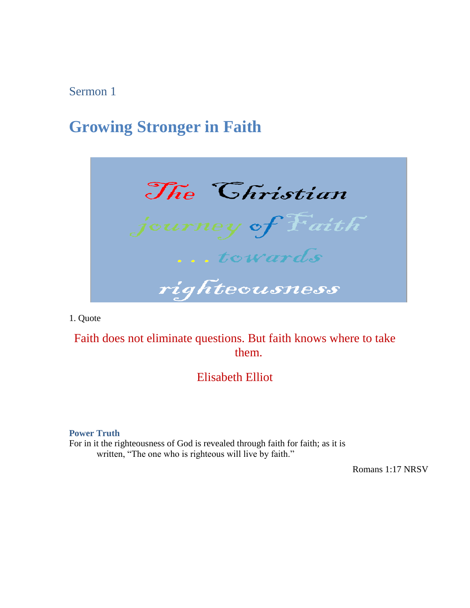# <span id="page-2-1"></span><span id="page-2-0"></span>**Growing Stronger in Faith**



1. Quote

Faith does not eliminate questions. But faith knows where to take them.

Elisabeth Elliot

#### **Power Truth**

For in it the righteousness of God is revealed through faith for faith; as it is written, "The one who is righteous will live by faith."

Romans 1:17 NRSV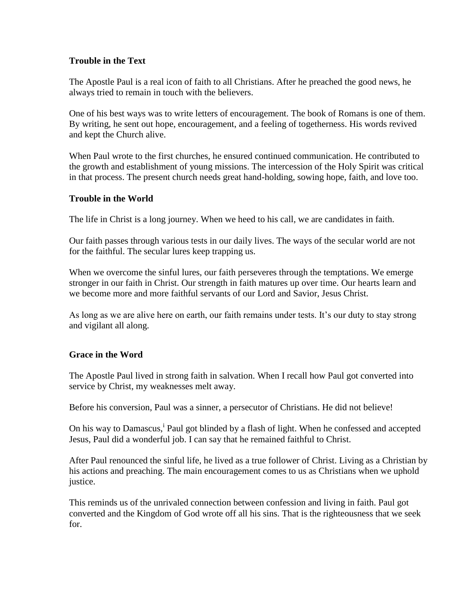#### **Trouble in the Text**

The Apostle Paul is a real icon of faith to all Christians. After he preached the good news, he always tried to remain in touch with the believers.

One of his best ways was to write letters of encouragement. The book of Romans is one of them. By writing, he sent out hope, encouragement, and a feeling of togetherness. His words revived and kept the Church alive.

When Paul wrote to the first churches, he ensured continued communication. He contributed to the growth and establishment of young missions. The intercession of the Holy Spirit was critical in that process. The present church needs great hand-holding, sowing hope, faith, and love too.

#### **Trouble in the World**

The life in Christ is a long journey. When we heed to his call, we are candidates in faith.

Our faith passes through various tests in our daily lives. The ways of the secular world are not for the faithful. The secular lures keep trapping us.

When we overcome the sinful lures, our faith perseveres through the temptations. We emerge stronger in our faith in Christ. Our strength in faith matures up over time. Our hearts learn and we become more and more faithful servants of our Lord and Savior, Jesus Christ.

As long as we are alive here on earth, our faith remains under tests. It's our duty to stay strong and vigilant all along.

#### **Grace in the Word**

The Apostle Paul lived in strong faith in salvation. When I recall how Paul got converted into service by Christ, my weaknesses melt away.

Before his conversion, Paul was a sinner, a persecutor of Christians. He did not believe!

On his way to Damascus,<sup>i</sup> Paul got blinded by a flash of light. When he confessed and accepted Jesus, Paul did a wonderful job. I can say that he remained faithful to Christ.

After Paul renounced the sinful life, he lived as a true follower of Christ. Living as a Christian by his actions and preaching. The main encouragement comes to us as Christians when we uphold justice.

This reminds us of the unrivaled connection between confession and living in faith. Paul got converted and the Kingdom of God wrote off all his sins. That is the righteousness that we seek for.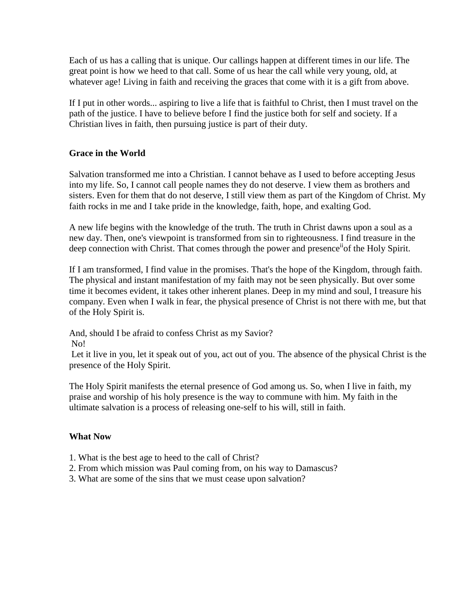Each of us has a calling that is unique. Our callings happen at different times in our life. The great point is how we heed to that call. Some of us hear the call while very young, old, at whatever age! Living in faith and receiving the graces that come with it is a gift from above.

If I put in other words... aspiring to live a life that is faithful to Christ, then I must travel on the path of the justice. I have to believe before I find the justice both for self and society. If a Christian lives in faith, then pursuing justice is part of their duty.

#### **Grace in the World**

Salvation transformed me into a Christian. I cannot behave as I used to before accepting Jesus into my life. So, I cannot call people names they do not deserve. I view them as brothers and sisters. Even for them that do not deserve, I still view them as part of the Kingdom of Christ. My faith rocks in me and I take pride in the knowledge, faith, hope, and exalting God.

A new life begins with the knowledge of the truth. The truth in Christ dawns upon a soul as a new day. Then, one's viewpoint is transformed from sin to righteousness. I find treasure in the deep connection with Christ. That comes through the power and presence <sup>ii</sup>of the Holy Spirit.

If I am transformed, I find value in the promises. That's the hope of the Kingdom, through faith. The physical and instant manifestation of my faith may not be seen physically. But over some time it becomes evident, it takes other inherent planes. Deep in my mind and soul, I treasure his company. Even when I walk in fear, the physical presence of Christ is not there with me, but that of the Holy Spirit is.

And, should I be afraid to confess Christ as my Savior? No!

Let it live in you, let it speak out of you, act out of you. The absence of the physical Christ is the presence of the Holy Spirit.

The Holy Spirit manifests the eternal presence of God among us. So, when I live in faith, my praise and worship of his holy presence is the way to commune with him. My faith in the ultimate salvation is a process of releasing one-self to his will, still in faith.

#### **What Now**

- 1. What is the best age to heed to the call of Christ?
- 2. From which mission was Paul coming from, on his way to Damascus?
- 3. What are some of the sins that we must cease upon salvation?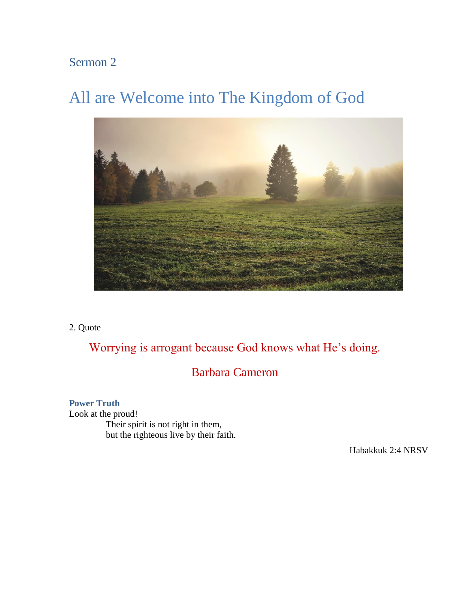# <span id="page-5-1"></span><span id="page-5-0"></span>All are Welcome into The Kingdom of God



#### 2. Quote

Worrying is arrogant because God knows what He's doing.

## Barbara Cameron

#### **Power Truth**

Look at the proud! Their spirit is not right in them, but the righteous live by their faith.

Habakkuk 2:4 NRSV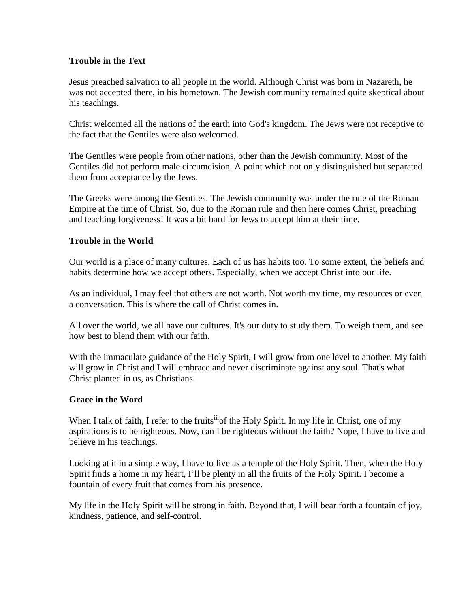#### **Trouble in the Text**

Jesus preached salvation to all people in the world. Although Christ was born in Nazareth, he was not accepted there, in his hometown. The Jewish community remained quite skeptical about his teachings.

Christ welcomed all the nations of the earth into God's kingdom. The Jews were not receptive to the fact that the Gentiles were also welcomed.

The Gentiles were people from other nations, other than the Jewish community. Most of the Gentiles did not perform male circumcision. A point which not only distinguished but separated them from acceptance by the Jews.

The Greeks were among the Gentiles. The Jewish community was under the rule of the Roman Empire at the time of Christ. So, due to the Roman rule and then here comes Christ, preaching and teaching forgiveness! It was a bit hard for Jews to accept him at their time.

#### **Trouble in the World**

Our world is a place of many cultures. Each of us has habits too. To some extent, the beliefs and habits determine how we accept others. Especially, when we accept Christ into our life.

As an individual, I may feel that others are not worth. Not worth my time, my resources or even a conversation. This is where the call of Christ comes in.

All over the world, we all have our cultures. It's our duty to study them. To weigh them, and see how best to blend them with our faith.

With the immaculate guidance of the Holy Spirit, I will grow from one level to another. My faith will grow in Christ and I will embrace and never discriminate against any soul. That's what Christ planted in us, as Christians.

#### **Grace in the Word**

When I talk of faith, I refer to the fruits<sup>iii</sup> of the Holy Spirit. In my life in Christ, one of my aspirations is to be righteous. Now, can I be righteous without the faith? Nope, I have to live and believe in his teachings.

Looking at it in a simple way, I have to live as a temple of the Holy Spirit. Then, when the Holy Spirit finds a home in my heart, I'll be plenty in all the fruits of the Holy Spirit. I become a fountain of every fruit that comes from his presence.

My life in the Holy Spirit will be strong in faith. Beyond that, I will bear forth a fountain of joy, kindness, patience, and self-control.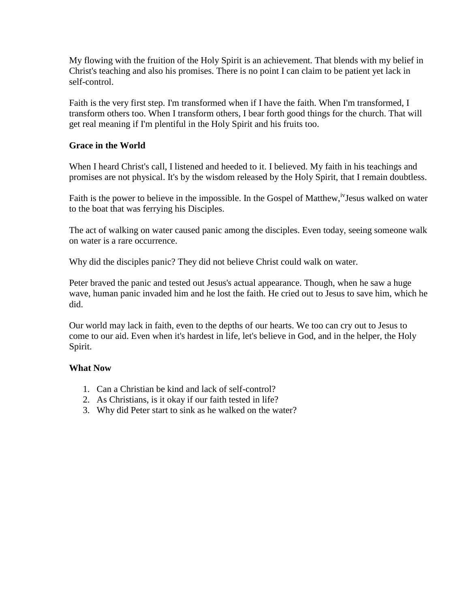My flowing with the fruition of the Holy Spirit is an achievement. That blends with my belief in Christ's teaching and also his promises. There is no point I can claim to be patient yet lack in self-control.

Faith is the very first step. I'm transformed when if I have the faith. When I'm transformed, I transform others too. When I transform others, I bear forth good things for the church. That will get real meaning if I'm plentiful in the Holy Spirit and his fruits too.

#### **Grace in the World**

When I heard Christ's call, I listened and heeded to it. I believed. My faith in his teachings and promises are not physical. It's by the wisdom released by the Holy Spirit, that I remain doubtless.

Faith is the power to believe in the impossible. In the Gospel of Matthew, <sup>iv</sup> Jesus walked on water to the boat that was ferrying his Disciples.

The act of walking on water caused panic among the disciples. Even today, seeing someone walk on water is a rare occurrence.

Why did the disciples panic? They did not believe Christ could walk on water.

Peter braved the panic and tested out Jesus's actual appearance. Though, when he saw a huge wave, human panic invaded him and he lost the faith. He cried out to Jesus to save him, which he did.

Our world may lack in faith, even to the depths of our hearts. We too can cry out to Jesus to come to our aid. Even when it's hardest in life, let's believe in God, and in the helper, the Holy Spirit.

#### **What Now**

- 1. Can a Christian be kind and lack of self-control?
- 2. As Christians, is it okay if our faith tested in life?
- 3. Why did Peter start to sink as he walked on the water?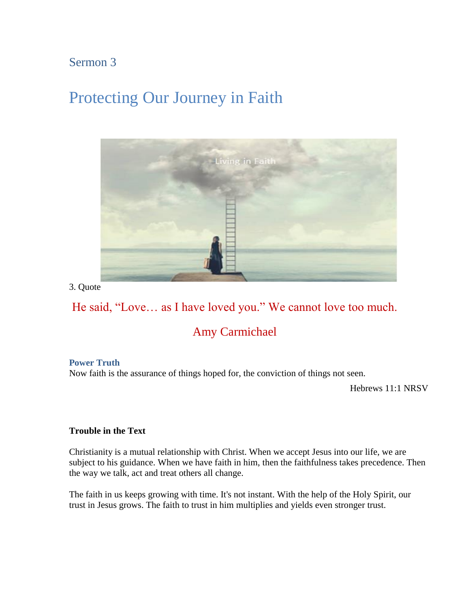# <span id="page-8-1"></span><span id="page-8-0"></span>Protecting Our Journey in Faith



3. Quote

## He said, "Love… as I have loved you." We cannot love too much.

## Amy Carmichael

#### **Power Truth**

Now faith is the assurance of things hoped for, the conviction of things not seen.

Hebrews 11:1 NRSV

#### **Trouble in the Text**

Christianity is a mutual relationship with Christ. When we accept Jesus into our life, we are subject to his guidance. When we have faith in him, then the faithfulness takes precedence. Then the way we talk, act and treat others all change.

The faith in us keeps growing with time. It's not instant. With the help of the Holy Spirit, our trust in Jesus grows. The faith to trust in him multiplies and yields even stronger trust.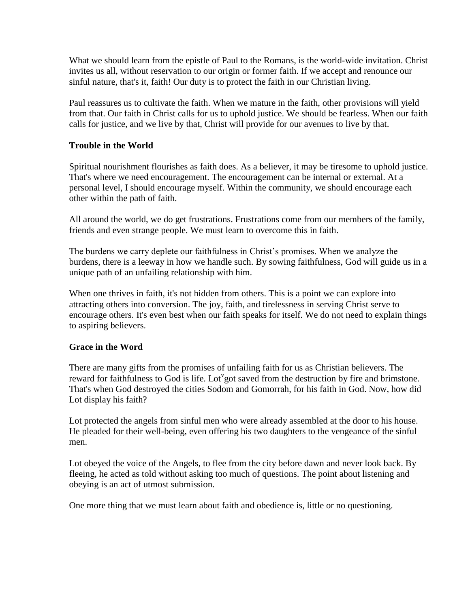What we should learn from the epistle of Paul to the Romans, is the world-wide invitation. Christ invites us all, without reservation to our origin or former faith. If we accept and renounce our sinful nature, that's it, faith! Our duty is to protect the faith in our Christian living.

Paul reassures us to cultivate the faith. When we mature in the faith, other provisions will yield from that. Our faith in Christ calls for us to uphold justice. We should be fearless. When our faith calls for justice, and we live by that, Christ will provide for our avenues to live by that.

#### **Trouble in the World**

Spiritual nourishment flourishes as faith does. As a believer, it may be tiresome to uphold justice. That's where we need encouragement. The encouragement can be internal or external. At a personal level, I should encourage myself. Within the community, we should encourage each other within the path of faith.

All around the world, we do get frustrations. Frustrations come from our members of the family, friends and even strange people. We must learn to overcome this in faith.

The burdens we carry deplete our faithfulness in Christ's promises. When we analyze the burdens, there is a leeway in how we handle such. By sowing faithfulness, God will guide us in a unique path of an unfailing relationship with him.

When one thrives in faith, it's not hidden from others. This is a point we can explore into attracting others into conversion. The joy, faith, and tirelessness in serving Christ serve to encourage others. It's even best when our faith speaks for itself. We do not need to explain things to aspiring believers.

#### **Grace in the Word**

There are many gifts from the promises of unfailing faith for us as Christian believers. The reward for faithfulness to God is life. Lot<sup>v</sup>got saved from the destruction by fire and brimstone. That's when God destroyed the cities Sodom and Gomorrah, for his faith in God. Now, how did Lot display his faith?

Lot protected the angels from sinful men who were already assembled at the door to his house. He pleaded for their well-being, even offering his two daughters to the vengeance of the sinful men.

Lot obeyed the voice of the Angels, to flee from the city before dawn and never look back. By fleeing, he acted as told without asking too much of questions. The point about listening and obeying is an act of utmost submission.

One more thing that we must learn about faith and obedience is, little or no questioning.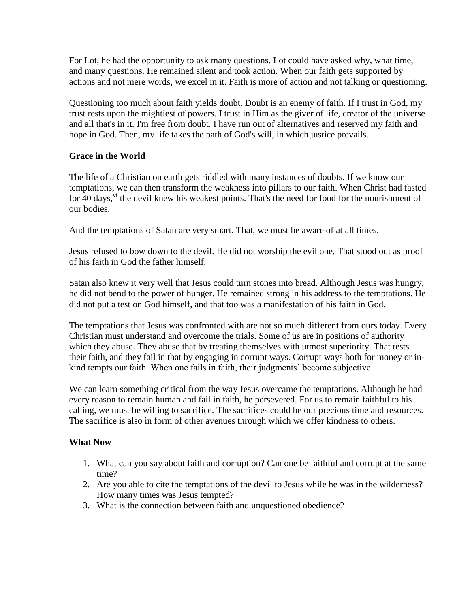For Lot, he had the opportunity to ask many questions. Lot could have asked why, what time, and many questions. He remained silent and took action. When our faith gets supported by actions and not mere words, we excel in it. Faith is more of action and not talking or questioning.

Questioning too much about faith yields doubt. Doubt is an enemy of faith. If I trust in God, my trust rests upon the mightiest of powers. I trust in Him as the giver of life, creator of the universe and all that's in it. I'm free from doubt. I have run out of alternatives and reserved my faith and hope in God. Then, my life takes the path of God's will, in which justice prevails.

#### **Grace in the World**

The life of a Christian on earth gets riddled with many instances of doubts. If we know our temptations, we can then transform the weakness into pillars to our faith. When Christ had fasted for 40 days,<sup>vi</sup> the devil knew his weakest points. That's the need for food for the nourishment of our bodies.

And the temptations of Satan are very smart. That, we must be aware of at all times.

Jesus refused to bow down to the devil. He did not worship the evil one. That stood out as proof of his faith in God the father himself.

Satan also knew it very well that Jesus could turn stones into bread. Although Jesus was hungry, he did not bend to the power of hunger. He remained strong in his address to the temptations. He did not put a test on God himself, and that too was a manifestation of his faith in God.

The temptations that Jesus was confronted with are not so much different from ours today. Every Christian must understand and overcome the trials. Some of us are in positions of authority which they abuse. They abuse that by treating themselves with utmost superiority. That tests their faith, and they fail in that by engaging in corrupt ways. Corrupt ways both for money or inkind tempts our faith. When one fails in faith, their judgments' become subjective.

We can learn something critical from the way Jesus overcame the temptations. Although he had every reason to remain human and fail in faith, he persevered. For us to remain faithful to his calling, we must be willing to sacrifice. The sacrifices could be our precious time and resources. The sacrifice is also in form of other avenues through which we offer kindness to others.

#### **What Now**

- 1. What can you say about faith and corruption? Can one be faithful and corrupt at the same time?
- 2. Are you able to cite the temptations of the devil to Jesus while he was in the wilderness? How many times was Jesus tempted?
- 3. What is the connection between faith and unquestioned obedience?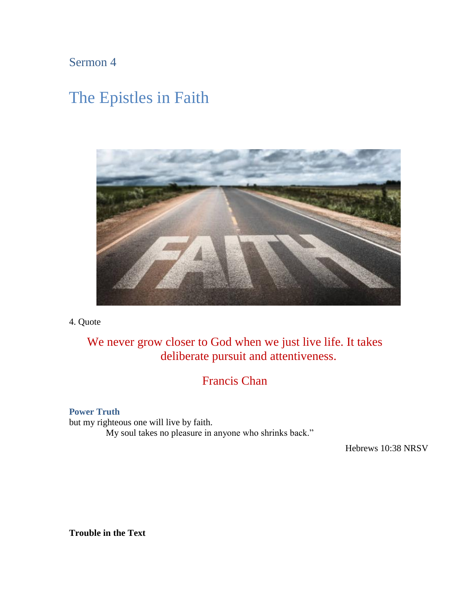## <span id="page-11-1"></span><span id="page-11-0"></span>The Epistles in Faith



#### 4. Quote

We never grow closer to God when we just live life. It takes deliberate pursuit and attentiveness.

## Francis Chan

#### **Power Truth**

but my righteous one will live by faith. My soul takes no pleasure in anyone who shrinks back."

Hebrews 10:38 NRSV

**Trouble in the Text**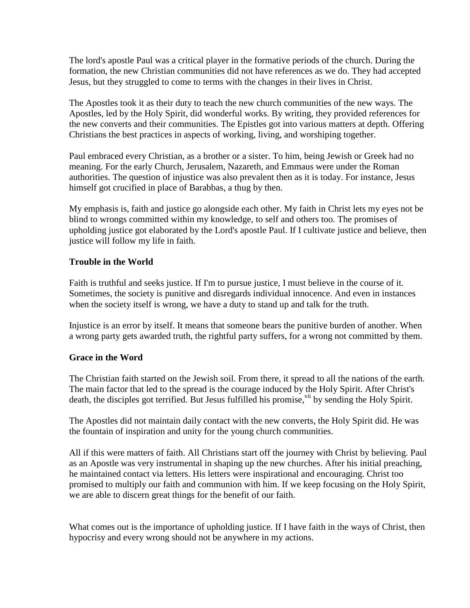The lord's apostle Paul was a critical player in the formative periods of the church. During the formation, the new Christian communities did not have references as we do. They had accepted Jesus, but they struggled to come to terms with the changes in their lives in Christ.

The Apostles took it as their duty to teach the new church communities of the new ways. The Apostles, led by the Holy Spirit, did wonderful works. By writing, they provided references for the new converts and their communities. The Epistles got into various matters at depth. Offering Christians the best practices in aspects of working, living, and worshiping together.

Paul embraced every Christian, as a brother or a sister. To him, being Jewish or Greek had no meaning. For the early Church, Jerusalem, Nazareth, and Emmaus were under the Roman authorities. The question of injustice was also prevalent then as it is today. For instance, Jesus himself got crucified in place of Barabbas, a thug by then.

My emphasis is, faith and justice go alongside each other. My faith in Christ lets my eyes not be blind to wrongs committed within my knowledge, to self and others too. The promises of upholding justice got elaborated by the Lord's apostle Paul. If I cultivate justice and believe, then justice will follow my life in faith.

#### **Trouble in the World**

Faith is truthful and seeks justice. If I'm to pursue justice, I must believe in the course of it. Sometimes, the society is punitive and disregards individual innocence. And even in instances when the society itself is wrong, we have a duty to stand up and talk for the truth.

Injustice is an error by itself. It means that someone bears the punitive burden of another. When a wrong party gets awarded truth, the rightful party suffers, for a wrong not committed by them.

#### **Grace in the Word**

The Christian faith started on the Jewish soil. From there, it spread to all the nations of the earth. The main factor that led to the spread is the courage induced by the Holy Spirit. After Christ's death, the disciples got terrified. But Jesus fulfilled his promise, in by sending the Holy Spirit.

The Apostles did not maintain daily contact with the new converts, the Holy Spirit did. He was the fountain of inspiration and unity for the young church communities.

All if this were matters of faith. All Christians start off the journey with Christ by believing. Paul as an Apostle was very instrumental in shaping up the new churches. After his initial preaching, he maintained contact via letters. His letters were inspirational and encouraging. Christ too promised to multiply our faith and communion with him. If we keep focusing on the Holy Spirit, we are able to discern great things for the benefit of our faith.

What comes out is the importance of upholding justice. If I have faith in the ways of Christ, then hypocrisy and every wrong should not be anywhere in my actions.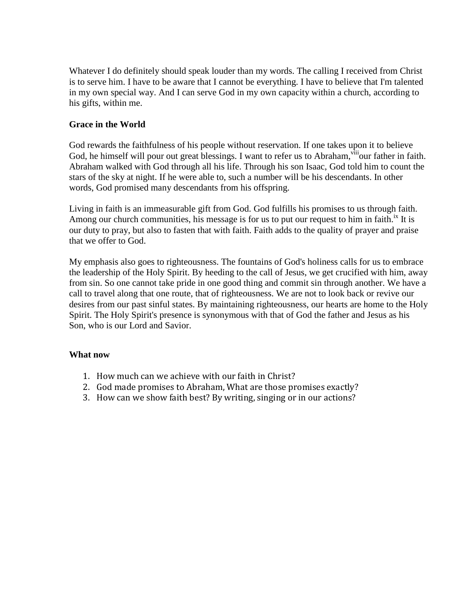Whatever I do definitely should speak louder than my words. The calling I received from Christ is to serve him. I have to be aware that I cannot be everything. I have to believe that I'm talented in my own special way. And I can serve God in my own capacity within a church, according to his gifts, within me.

#### **Grace in the World**

God rewards the faithfulness of his people without reservation. If one takes upon it to believe God, he himself will pour out great blessings. I want to refer us to Abraham, vill our father in faith. Abraham walked with God through all his life. Through his son Isaac, God told him to count the stars of the sky at night. If he were able to, such a number will be his descendants. In other words, God promised many descendants from his offspring.

Living in faith is an immeasurable gift from God. God fulfills his promises to us through faith. Among our church communities, his message is for us to put our request to him in faith.<sup>ix</sup> It is our duty to pray, but also to fasten that with faith. Faith adds to the quality of prayer and praise that we offer to God.

My emphasis also goes to righteousness. The fountains of God's holiness calls for us to embrace the leadership of the Holy Spirit. By heeding to the call of Jesus, we get crucified with him, away from sin. So one cannot take pride in one good thing and commit sin through another. We have a call to travel along that one route, that of righteousness. We are not to look back or revive our desires from our past sinful states. By maintaining righteousness, our hearts are home to the Holy Spirit. The Holy Spirit's presence is synonymous with that of God the father and Jesus as his Son, who is our Lord and Savior.

#### **What now**

- 1. How much can we achieve with our faith in Christ?
- 2. God made promises to Abraham, What are those promises exactly?
- <span id="page-13-0"></span>3. How can we show faith best? By writing, singing or in our actions?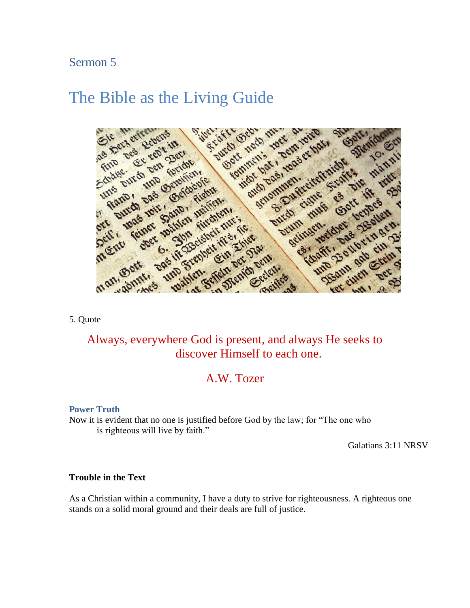## <span id="page-14-0"></span>The Bible as the Living Guide



5. Quote

## Always, everywhere God is present, and always He seeks to discover Himself to each one.

### A.W. Tozer

#### **Power Truth**

Now it is evident that no one is justified before God by the law; for "The one who is righteous will live by faith."

Galatians 3:11 NRSV

#### **Trouble in the Text**

As a Christian within a community, I have a duty to strive for righteousness. A righteous one stands on a solid moral ground and their deals are full of justice.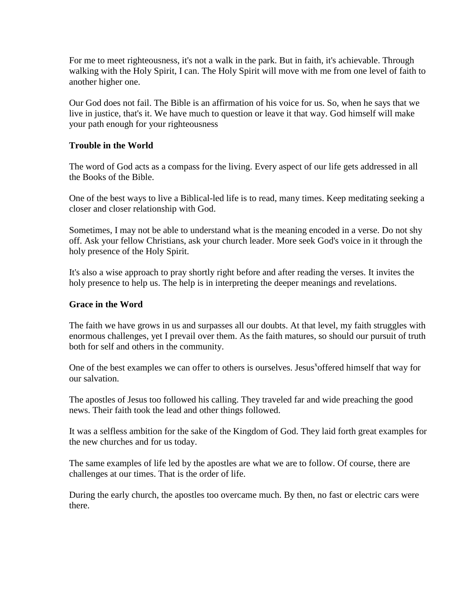For me to meet righteousness, it's not a walk in the park. But in faith, it's achievable. Through walking with the Holy Spirit, I can. The Holy Spirit will move with me from one level of faith to another higher one.

Our God does not fail. The Bible is an affirmation of his voice for us. So, when he says that we live in justice, that's it. We have much to question or leave it that way. God himself will make your path enough for your righteousness

#### **Trouble in the World**

The word of God acts as a compass for the living. Every aspect of our life gets addressed in all the Books of the Bible.

One of the best ways to live a Biblical-led life is to read, many times. Keep meditating seeking a closer and closer relationship with God.

Sometimes, I may not be able to understand what is the meaning encoded in a verse. Do not shy off. Ask your fellow Christians, ask your church leader. More seek God's voice in it through the holy presence of the Holy Spirit.

It's also a wise approach to pray shortly right before and after reading the verses. It invites the holy presence to help us. The help is in interpreting the deeper meanings and revelations.

#### **Grace in the Word**

The faith we have grows in us and surpasses all our doubts. At that level, my faith struggles with enormous challenges, yet I prevail over them. As the faith matures, so should our pursuit of truth both for self and others in the community.

One of the best examples we can offer to others is ourselves. Jesus<sup>x</sup>offered himself that way for our salvation.

The apostles of Jesus too followed his calling. They traveled far and wide preaching the good news. Their faith took the lead and other things followed.

It was a selfless ambition for the sake of the Kingdom of God. They laid forth great examples for the new churches and for us today.

The same examples of life led by the apostles are what we are to follow. Of course, there are challenges at our times. That is the order of life.

During the early church, the apostles too overcame much. By then, no fast or electric cars were there.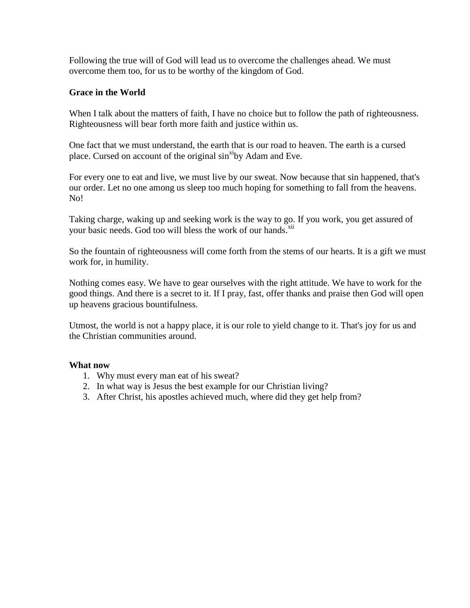Following the true will of God will lead us to overcome the challenges ahead. We must overcome them too, for us to be worthy of the kingdom of God.

#### **Grace in the World**

When I talk about the matters of faith, I have no choice but to follow the path of righteousness. Righteousness will bear forth more faith and justice within us.

One fact that we must understand, the earth that is our road to heaven. The earth is a cursed place. Cursed on account of the original  $\sin^{x_1}$  by Adam and Eve.

For every one to eat and live, we must live by our sweat. Now because that sin happened, that's our order. Let no one among us sleep too much hoping for something to fall from the heavens. No!

Taking charge, waking up and seeking work is the way to go. If you work, you get assured of your basic needs. God too will bless the work of our hands.<sup>xii</sup>

So the fountain of righteousness will come forth from the stems of our hearts. It is a gift we must work for, in humility.

Nothing comes easy. We have to gear ourselves with the right attitude. We have to work for the good things. And there is a secret to it. If I pray, fast, offer thanks and praise then God will open up heavens gracious bountifulness.

Utmost, the world is not a happy place, it is our role to yield change to it. That's joy for us and the Christian communities around.

#### **What now**

- 1. Why must every man eat of his sweat?
- 2. In what way is Jesus the best example for our Christian living?
- 3. After Christ, his apostles achieved much, where did they get help from?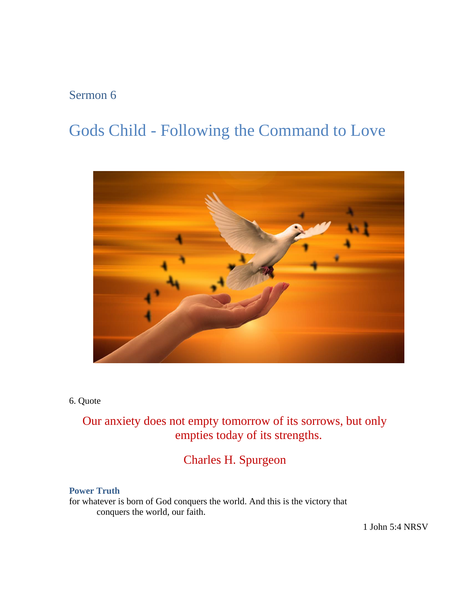# <span id="page-17-1"></span><span id="page-17-0"></span>Gods Child - Following the Command to Love



6. Quote

## Our anxiety does not empty tomorrow of its sorrows, but only empties today of its strengths.

## Charles H. Spurgeon

#### **Power Truth**

for whatever is born of God conquers the world. And this is the victory that conquers the world, our faith.

1 John 5:4 NRSV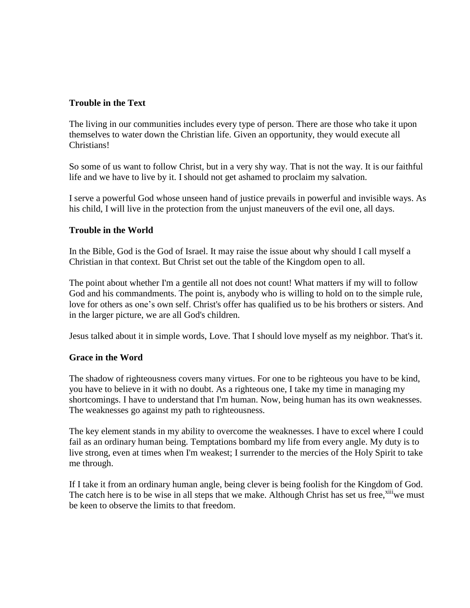#### <span id="page-18-0"></span>**Trouble in the Text**

The living in our communities includes every type of person. There are those who take it upon themselves to water down the Christian life. Given an opportunity, they would execute all Christians!

So some of us want to follow Christ, but in a very shy way. That is not the way. It is our faithful life and we have to live by it. I should not get ashamed to proclaim my salvation.

I serve a powerful God whose unseen hand of justice prevails in powerful and invisible ways. As his child, I will live in the protection from the unjust maneuvers of the evil one, all days.

#### **Trouble in the World**

In the Bible, God is the God of Israel. It may raise the issue about why should I call myself a Christian in that context. But Christ set out the table of the Kingdom open to all.

The point about whether I'm a gentile all not does not count! What matters if my will to follow God and his commandments. The point is, anybody who is willing to hold on to the simple rule, love for others as one's own self. Christ's offer has qualified us to be his brothers or sisters. And in the larger picture, we are all God's children.

Jesus talked about it in simple words, Love. That I should love myself as my neighbor. That's it.

#### **Grace in the Word**

The shadow of righteousness covers many virtues. For one to be righteous you have to be kind, you have to believe in it with no doubt. As a righteous one, I take my time in managing my shortcomings. I have to understand that I'm human. Now, being human has its own weaknesses. The weaknesses go against my path to righteousness.

The key element stands in my ability to overcome the weaknesses. I have to excel where I could fail as an ordinary human being. Temptations bombard my life from every angle. My duty is to live strong, even at times when I'm weakest; I surrender to the mercies of the Holy Spirit to take me through.

If I take it from an ordinary human angle, being clever is being foolish for the Kingdom of God. The catch here is to be wise in all steps that we make. Although Christ has set us free,<sup>xiii</sup>we must be keen to observe the limits to that freedom.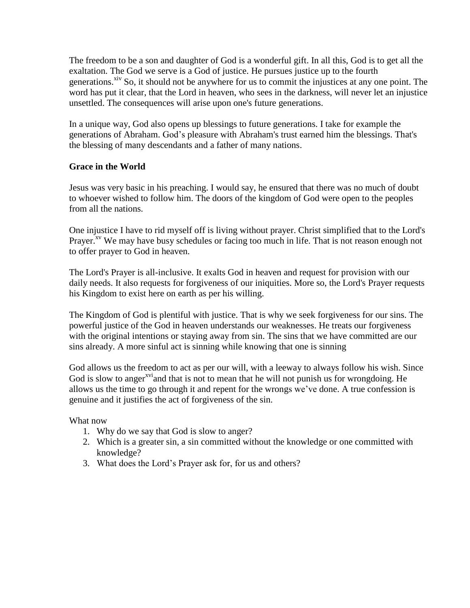The freedom to be a son and daughter of God is a wonderful gift. In all this, God is to get all the exaltation. The God we serve is a God of justice. He pursues justice up to the fourth generations.<sup>xiv</sup> So, it should not be anywhere for us to commit the injustices at any one point. The word has put it clear, that the Lord in heaven, who sees in the darkness, will never let an injustice unsettled. The consequences will arise upon one's future generations.

In a unique way, God also opens up blessings to future generations. I take for example the generations of Abraham. God's pleasure with Abraham's trust earned him the blessings. That's the blessing of many descendants and a father of many nations.

#### **Grace in the World**

Jesus was very basic in his preaching. I would say, he ensured that there was no much of doubt to whoever wished to follow him. The doors of the kingdom of God were open to the peoples from all the nations.

One injustice I have to rid myself off is living without prayer. Christ simplified that to the Lord's Prayer.<sup>xv</sup> We may have busy schedules or facing too much in life. That is not reason enough not to offer prayer to God in heaven.

The Lord's Prayer is all-inclusive. It exalts God in heaven and request for provision with our daily needs. It also requests for forgiveness of our iniquities. More so, the Lord's Prayer requests his Kingdom to exist here on earth as per his willing.

The Kingdom of God is plentiful with justice. That is why we seek forgiveness for our sins. The powerful justice of the God in heaven understands our weaknesses. He treats our forgiveness with the original intentions or staying away from sin. The sins that we have committed are our sins already. A more sinful act is sinning while knowing that one is sinning

God allows us the freedom to act as per our will, with a leeway to always follow his wish. Since God is slow to anger<sup>xvi</sup>and that is not to mean that he will not punish us for wrongdoing. He allows us the time to go through it and repent for the wrongs we've done. A true confession is genuine and it justifies the act of forgiveness of the sin.

#### What now

- 1. Why do we say that God is slow to anger?
- 2. Which is a greater sin, a sin committed without the knowledge or one committed with knowledge?
- 3. What does the Lord's Prayer ask for, for us and others?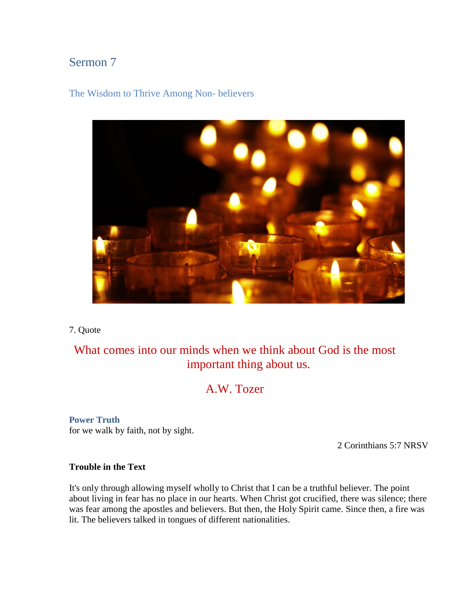#### <span id="page-20-0"></span>The Wisdom to Thrive Among Non- believers



#### 7. Quote

## What comes into our minds when we think about God is the most important thing about us.

### A.W. Tozer

**Power Truth** for we walk by faith, not by sight.

2 Corinthians 5:7 NRSV

#### **Trouble in the Text**

It's only through allowing myself wholly to Christ that I can be a truthful believer. The point about living in fear has no place in our hearts. When Christ got crucified, there was silence; there was fear among the apostles and believers. But then, the Holy Spirit came. Since then, a fire was lit. The believers talked in tongues of different nationalities.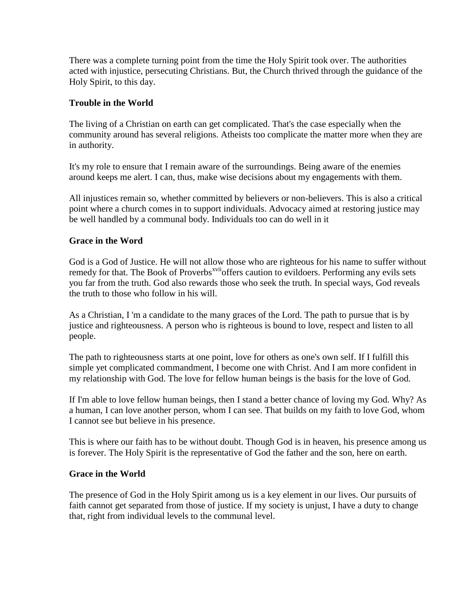There was a complete turning point from the time the Holy Spirit took over. The authorities acted with injustice, persecuting Christians. But, the Church thrived through the guidance of the Holy Spirit, to this day.

#### **Trouble in the World**

The living of a Christian on earth can get complicated. That's the case especially when the community around has several religions. Atheists too complicate the matter more when they are in authority.

It's my role to ensure that I remain aware of the surroundings. Being aware of the enemies around keeps me alert. I can, thus, make wise decisions about my engagements with them.

All injustices remain so, whether committed by believers or non-believers. This is also a critical point where a church comes in to support individuals. Advocacy aimed at restoring justice may be well handled by a communal body. Individuals too can do well in it

#### **Grace in the Word**

God is a God of Justice. He will not allow those who are righteous for his name to suffer without remedy for that. The Book of Proverbs<sup>xvii</sup>offers caution to evildoers. Performing any evils sets you far from the truth. God also rewards those who seek the truth. In special ways, God reveals the truth to those who follow in his will.

As a Christian, I 'm a candidate to the many graces of the Lord. The path to pursue that is by justice and righteousness. A person who is righteous is bound to love, respect and listen to all people.

The path to righteousness starts at one point, love for others as one's own self. If I fulfill this simple yet complicated commandment, I become one with Christ. And I am more confident in my relationship with God. The love for fellow human beings is the basis for the love of God.

If I'm able to love fellow human beings, then I stand a better chance of loving my God. Why? As a human, I can love another person, whom I can see. That builds on my faith to love God, whom I cannot see but believe in his presence.

This is where our faith has to be without doubt. Though God is in heaven, his presence among us is forever. The Holy Spirit is the representative of God the father and the son, here on earth.

#### **Grace in the World**

The presence of God in the Holy Spirit among us is a key element in our lives. Our pursuits of faith cannot get separated from those of justice. If my society is unjust, I have a duty to change that, right from individual levels to the communal level.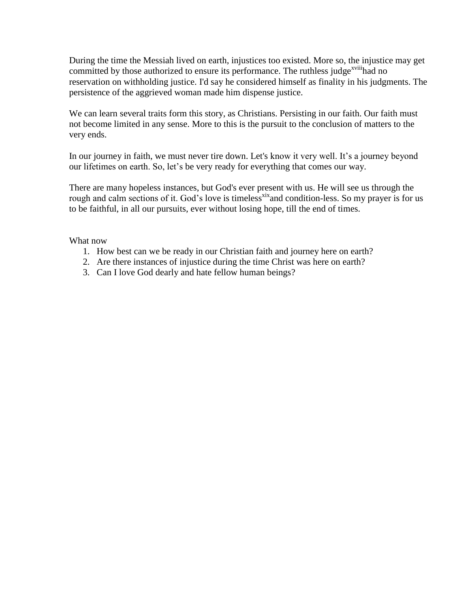During the time the Messiah lived on earth, injustices too existed. More so, the injustice may get committed by those authorized to ensure its performance. The ruthless judge<sup>xviii</sup>had no reservation on withholding justice. I'd say he considered himself as finality in his judgments. The persistence of the aggrieved woman made him dispense justice.

We can learn several traits form this story, as Christians. Persisting in our faith. Our faith must not become limited in any sense. More to this is the pursuit to the conclusion of matters to the very ends.

In our journey in faith, we must never tire down. Let's know it very well. It's a journey beyond our lifetimes on earth. So, let's be very ready for everything that comes our way.

There are many hopeless instances, but God's ever present with us. He will see us through the rough and calm sections of it. God's love is timeless<sup>xix</sup> and condition-less. So my prayer is for us to be faithful, in all our pursuits, ever without losing hope, till the end of times.

What now

- 1. How best can we be ready in our Christian faith and journey here on earth?
- 2. Are there instances of injustice during the time Christ was here on earth?
- 3. Can I love God dearly and hate fellow human beings?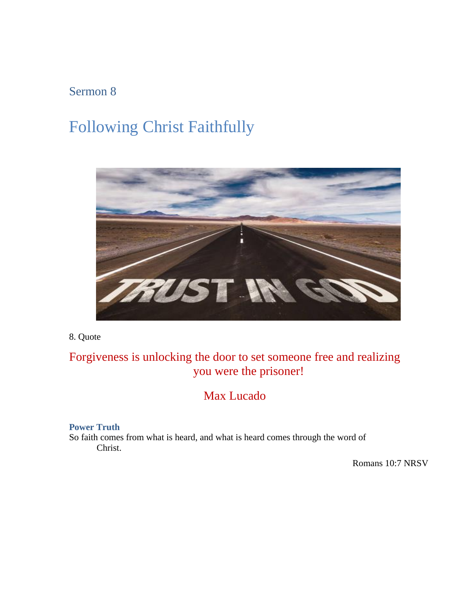# <span id="page-23-1"></span><span id="page-23-0"></span>Following Christ Faithfully



8. Quote

## Forgiveness is unlocking the door to set someone free and realizing you were the prisoner!

## Max Lucado

<span id="page-23-2"></span>**Power Truth** So faith comes from what is heard, and what is heard comes through the word of Christ.

Romans 10:7 NRSV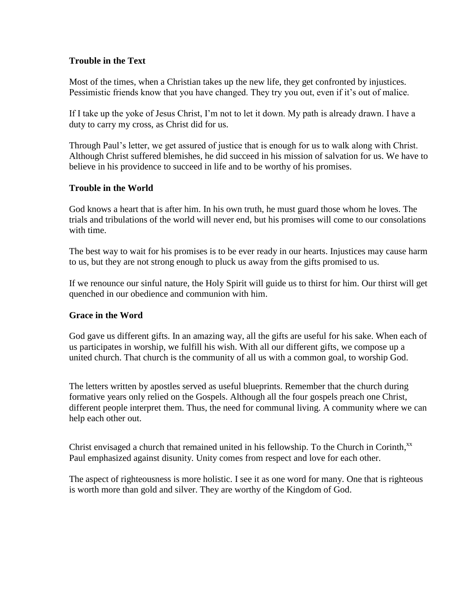#### **Trouble in the Text**

Most of the times, when a Christian takes up the new life, they get confronted by injustices. Pessimistic friends know that you have changed. They try you out, even if it's out of malice.

If I take up the yoke of Jesus Christ, I'm not to let it down. My path is already drawn. I have a duty to carry my cross, as Christ did for us.

Through Paul's letter, we get assured of justice that is enough for us to walk along with Christ. Although Christ suffered blemishes, he did succeed in his mission of salvation for us. We have to believe in his providence to succeed in life and to be worthy of his promises.

#### **Trouble in the World**

God knows a heart that is after him. In his own truth, he must guard those whom he loves. The trials and tribulations of the world will never end, but his promises will come to our consolations with time.

The best way to wait for his promises is to be ever ready in our hearts. Injustices may cause harm to us, but they are not strong enough to pluck us away from the gifts promised to us.

If we renounce our sinful nature, the Holy Spirit will guide us to thirst for him. Our thirst will get quenched in our obedience and communion with him.

#### **Grace in the Word**

God gave us different gifts. In an amazing way, all the gifts are useful for his sake. When each of us participates in worship, we fulfill his wish. With all our different gifts, we compose up a united church. That church is the community of all us with a common goal, to worship God.

The letters written by apostles served as useful blueprints. Remember that the church during formative years only relied on the Gospels. Although all the four gospels preach one Christ, different people interpret them. Thus, the need for communal living. A community where we can help each other out.

Christ envisaged a church that remained united in his fellowship. To the Church in Corinth,<sup>xx</sup> Paul emphasized against disunity. Unity comes from respect and love for each other.

The aspect of righteousness is more holistic. I see it as one word for many. One that is righteous is worth more than gold and silver. They are worthy of the Kingdom of God.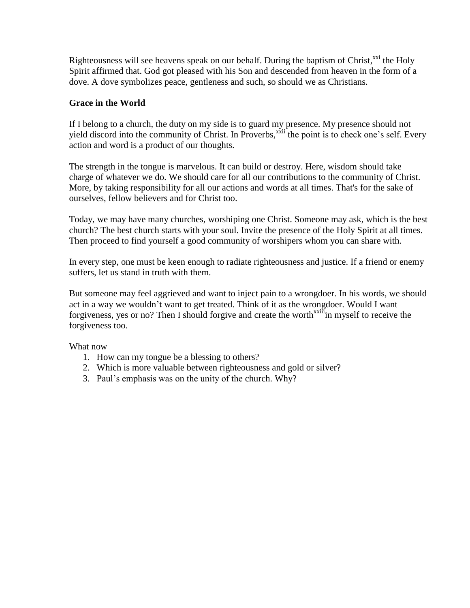Righteousness will see heavens speak on our behalf. During the baptism of Christ,<sup>xxi</sup> the Holy Spirit affirmed that. God got pleased with his Son and descended from heaven in the form of a dove. A dove symbolizes peace, gentleness and such, so should we as Christians.

#### **Grace in the World**

If I belong to a church, the duty on my side is to guard my presence. My presence should not yield discord into the community of Christ. In Proverbs,<sup>xxii</sup> the point is to check one's self. Every action and word is a product of our thoughts.

The strength in the tongue is marvelous. It can build or destroy. Here, wisdom should take charge of whatever we do. We should care for all our contributions to the community of Christ. More, by taking responsibility for all our actions and words at all times. That's for the sake of ourselves, fellow believers and for Christ too.

Today, we may have many churches, worshiping one Christ. Someone may ask, which is the best church? The best church starts with your soul. Invite the presence of the Holy Spirit at all times. Then proceed to find yourself a good community of worshipers whom you can share with.

In every step, one must be keen enough to radiate righteousness and justice. If a friend or enemy suffers, let us stand in truth with them.

But someone may feel aggrieved and want to inject pain to a wrongdoer. In his words, we should act in a way we wouldn't want to get treated. Think of it as the wrongdoer. Would I want forgiveness, yes or no? Then I should forgive and create the worth<sup>xxiii</sup>in myself to receive the forgiveness too.

What now

- 1. How can my tongue be a blessing to others?
- 2. Which is more valuable between righteousness and gold or silver?
- 3. Paul's emphasis was on the unity of the church. Why?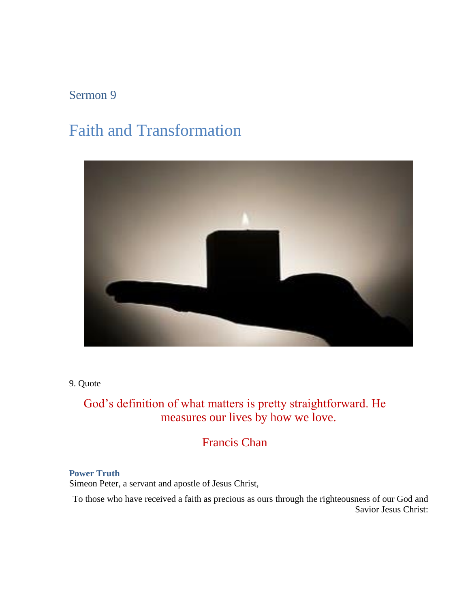# <span id="page-26-0"></span>Faith and Transformation



9. Quote

## God's definition of what matters is pretty straightforward. He measures our lives by how we love.

Francis Chan

#### **Power Truth**

Simeon Peter, a servant and apostle of Jesus Christ,

To those who have received a faith as precious as ours through the righteousness of our God and Savior Jesus Christ: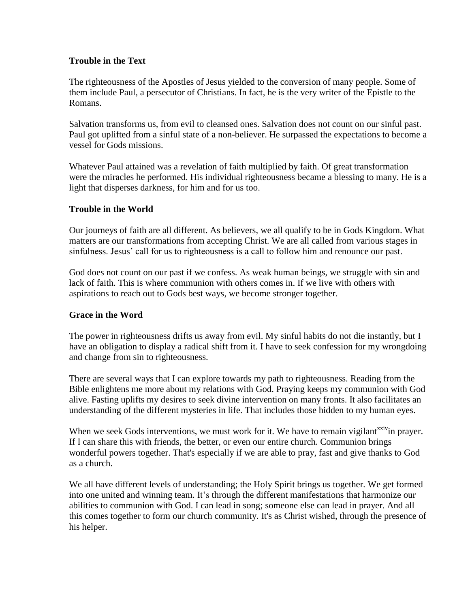#### **Trouble in the Text**

The righteousness of the Apostles of Jesus yielded to the conversion of many people. Some of them include Paul, a persecutor of Christians. In fact, he is the very writer of the Epistle to the Romans.

Salvation transforms us, from evil to cleansed ones. Salvation does not count on our sinful past. Paul got uplifted from a sinful state of a non-believer. He surpassed the expectations to become a vessel for Gods missions.

Whatever Paul attained was a revelation of faith multiplied by faith. Of great transformation were the miracles he performed. His individual righteousness became a blessing to many. He is a light that disperses darkness, for him and for us too.

#### **Trouble in the World**

Our journeys of faith are all different. As believers, we all qualify to be in Gods Kingdom. What matters are our transformations from accepting Christ. We are all called from various stages in sinfulness. Jesus' call for us to righteousness is a call to follow him and renounce our past.

God does not count on our past if we confess. As weak human beings, we struggle with sin and lack of faith. This is where communion with others comes in. If we live with others with aspirations to reach out to Gods best ways, we become stronger together.

#### **Grace in the Word**

The power in righteousness drifts us away from evil. My sinful habits do not die instantly, but I have an obligation to display a radical shift from it. I have to seek confession for my wrongdoing and change from sin to righteousness.

There are several ways that I can explore towards my path to righteousness. Reading from the Bible enlightens me more about my relations with God. Praying keeps my communion with God alive. Fasting uplifts my desires to seek divine intervention on many fronts. It also facilitates an understanding of the different mysteries in life. That includes those hidden to my human eyes.

When we seek Gods interventions, we must work for it. We have to remain vigilant<sup>xxiv</sup>in prayer. If I can share this with friends, the better, or even our entire church. Communion brings wonderful powers together. That's especially if we are able to pray, fast and give thanks to God as a church.

We all have different levels of understanding; the Holy Spirit brings us together. We get formed into one united and winning team. It's through the different manifestations that harmonize our abilities to communion with God. I can lead in song; someone else can lead in prayer. And all this comes together to form our church community. It's as Christ wished, through the presence of his helper.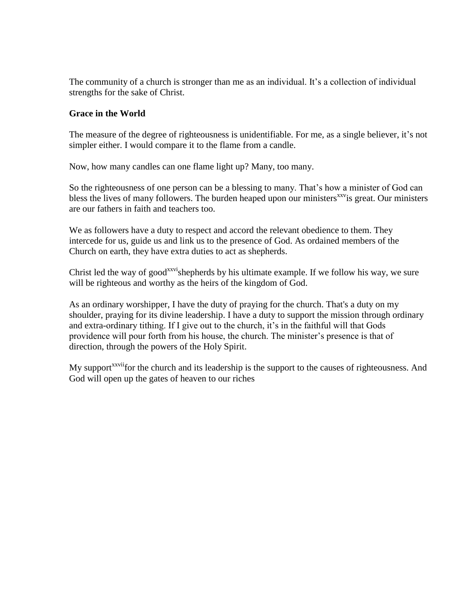The community of a church is stronger than me as an individual. It's a collection of individual strengths for the sake of Christ.

#### **Grace in the World**

The measure of the degree of righteousness is unidentifiable. For me, as a single believer, it's not simpler either. I would compare it to the flame from a candle.

Now, how many candles can one flame light up? Many, too many.

So the righteousness of one person can be a blessing to many. That's how a minister of God can bless the lives of many followers. The burden heaped upon our ministers<sup>xxv</sup>is great. Our ministers are our fathers in faith and teachers too.

We as followers have a duty to respect and accord the relevant obedience to them. They intercede for us, guide us and link us to the presence of God. As ordained members of the Church on earth, they have extra duties to act as shepherds.

Christ led the way of good<sup>xxvi</sup>shepherds by his ultimate example. If we follow his way, we sure will be righteous and worthy as the heirs of the kingdom of God.

As an ordinary worshipper, I have the duty of praying for the church. That's a duty on my shoulder, praying for its divine leadership. I have a duty to support the mission through ordinary and extra-ordinary tithing. If I give out to the church, it's in the faithful will that Gods providence will pour forth from his house, the church. The minister's presence is that of direction, through the powers of the Holy Spirit.

My support<sup>xxvii</sup>for the church and its leadership is the support to the causes of righteousness. And God will open up the gates of heaven to our riches